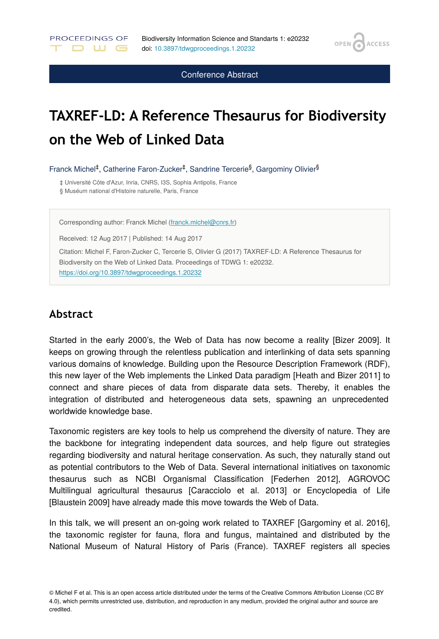OPEN /

**ACCESS** 

Conference Abstract

# **TAXREF-LD: A Reference Thesaurus for Biodiversity on the Web of Linked Data**

Franck Michel<sup>‡</sup>, Catherine Faron-Zucker<sup>‡</sup>, Sandrine Tercerie<sup>§</sup>, Gargominy Olivier<sup>§</sup>

‡ Université Côte d'Azur, Inria, CNRS, I3S, Sophia Antipolis, France § Muséum national d'Histoire naturelle, Paris, France

Corresponding author: Franck Michel ([franck.michel@cnrs.fr\)](mailto:franck.michel@cnrs.fr)

Received: 12 Aug 2017 | Published: 14 Aug 2017

Citation: Michel F, Faron-Zucker C, Tercerie S, Olivier G (2017) TAXREF-LD: A Reference Thesaurus for Biodiversity on the Web of Linked Data. Proceedings of TDWG 1: e20232. <https://doi.org/10.3897/tdwgproceedings.1.20232>

#### **Abstract**

PROCEEDINGS OF

. **D** M G .

Started in the early 2000's, the Web of Data has now become a reality [Bizer 2009]. It keeps on growing through the relentless publication and interlinking of data sets spanning various domains of knowledge. Building upon the Resource Description Framework (RDF), this new layer of the Web implements the Linked Data paradigm [Heath and Bizer 2011] to connect and share pieces of data from disparate data sets. Thereby, it enables the integration of distributed and heterogeneous data sets, spawning an unprecedented worldwide knowledge base.

Taxonomic registers are key tools to help us comprehend the diversity of nature. They are the backbone for integrating independent data sources, and help figure out strategies regarding biodiversity and natural heritage conservation. As such, they naturally stand out as potential contributors to the Web of Data. Several international initiatives on taxonomic thesaurus such as NCBI Organismal Classification [Federhen 2012], AGROVOC Multilingual agricultural thesaurus [Caracciolo et al. 2013] or Encyclopedia of Life [Blaustein 2009] have already made this move towards the Web of Data.

In this talk, we will present an on-going work related to TAXREF [Gargominy et al. 2016], the taxonomic register for fauna, flora and fungus, maintained and distributed by the National Museum of Natural History of Paris (France). TAXREF registers all species

<sup>©</sup> Michel F et al. This is an open access article distributed under the terms of the Creative Commons Attribution License (CC BY 4.0), which permits unrestricted use, distribution, and reproduction in any medium, provided the original author and source are credited.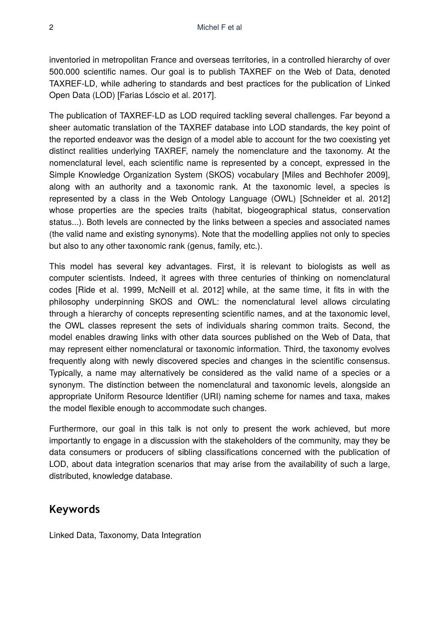inventoried in metropolitan France and overseas territories, in a controlled hierarchy of over 500.000 scientific names. Our goal is to publish TAXREF on the Web of Data, denoted TAXREF-LD, while adhering to standards and best practices for the publication of Linked Open Data (LOD) [Farias Lóscio et al. 2017].

The publication of TAXREF-LD as LOD required tackling several challenges. Far beyond a sheer automatic translation of the TAXREF database into LOD standards, the key point of the reported endeavor was the design of a model able to account for the two coexisting yet distinct realities underlying TAXREF, namely the nomenclature and the taxonomy. At the nomenclatural level, each scientific name is represented by a concept, expressed in the Simple Knowledge Organization System (SKOS) vocabulary [Miles and Bechhofer 2009], along with an authority and a taxonomic rank. At the taxonomic level, a species is represented by a class in the Web Ontology Language (OWL) [Schneider et al. 2012] whose properties are the species traits (habitat, biogeographical status, conservation status...). Both levels are connected by the links between a species and associated names (the valid name and existing synonyms). Note that the modelling applies not only to species but also to any other taxonomic rank (genus, family, etc.).

This model has several key advantages. First, it is relevant to biologists as well as computer scientists. Indeed, it agrees with three centuries of thinking on nomenclatural codes [Ride et al. 1999, McNeill et al. 2012] while, at the same time, it fits in with the philosophy underpinning SKOS and OWL: the nomenclatural level allows circulating through a hierarchy of concepts representing scientific names, and at the taxonomic level, the OWL classes represent the sets of individuals sharing common traits. Second, the model enables drawing links with other data sources published on the Web of Data, that may represent either nomenclatural or taxonomic information. Third, the taxonomy evolves frequently along with newly discovered species and changes in the scientific consensus. Typically, a name may alternatively be considered as the valid name of a species or a synonym. The distinction between the nomenclatural and taxonomic levels, alongside an appropriate Uniform Resource Identifier (URI) naming scheme for names and taxa, makes the model flexible enough to accommodate such changes.

Furthermore, our goal in this talk is not only to present the work achieved, but more importantly to engage in a discussion with the stakeholders of the community, may they be data consumers or producers of sibling classifications concerned with the publication of LOD, about data integration scenarios that may arise from the availability of such a large, distributed, knowledge database.

### **Keywords**

Linked Data, Taxonomy, Data Integration